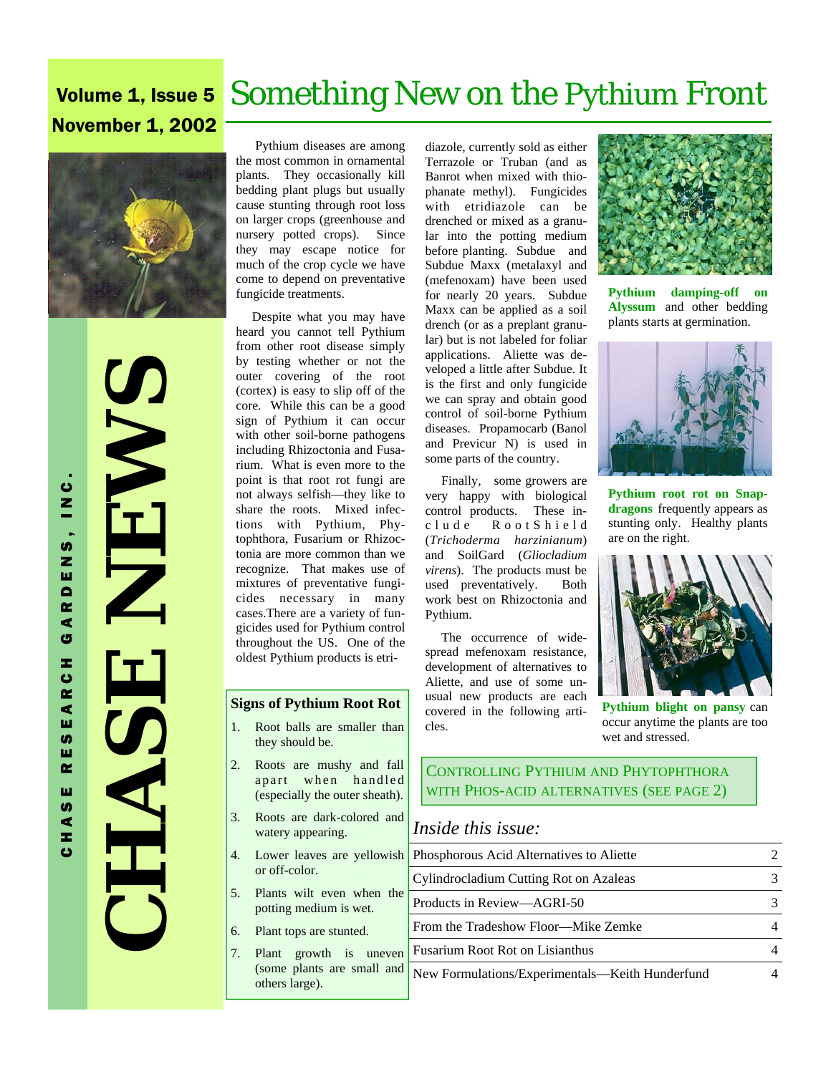# Volume 1, Issue 5 Something New on the Pythium Front November 1, 2002



 **CHASE NEWS**  NEWS HASE

 Pythium diseases are among the most common in ornamental plants. They occasionally kill bedding plant plugs but usually cause stunting through root loss on larger crops (greenhouse and nursery potted crops). Since they may escape notice for much of the crop cycle we have come to depend on preventative fungicide treatments.

 Despite what you may have heard you cannot tell Pythium from other root disease simply by testing whether or not the outer covering of the root (cortex) is easy to slip off of the core. While this can be a good sign of Pythium it can occur with other soil-borne pathogens including Rhizoctonia and Fusarium. What is even more to the point is that root rot fungi are not always selfish—they like to share the roots. Mixed infections with Pythium, Phytophthora, Fusarium or Rhizoctonia are more common than we recognize. That makes use of mixtures of preventative fungicides necessary in many cases.There are a variety of fungicides used for Pythium control throughout the US. One of the oldest Pythium products is etri-

#### **Signs of Pythium Root Rot**

- 1. Root balls are smaller than they should be.
- 2. Roots are mushy and fall apart when handled (especially the outer sheath).
- 3. Roots are dark-colored and watery appearing.
- 4. Lower leaves are yellowish or off-color.
- 5. Plants wilt even when the potting medium is wet.
- 6. Plant tops are stunted.
- 7. Plant growth is uneven (some plants are small and others large).

diazole, currently sold as either Terrazole or Truban (and as Banrot when mixed with thiophanate methyl). Fungicides with etridiazole can be drenched or mixed as a granular into the potting medium before planting. Subdue and Subdue Maxx (metalaxyl and (mefenoxam) have been used for nearly 20 years. Subdue Maxx can be applied as a soil drench (or as a preplant granular) but is not labeled for foliar applications. Aliette was developed a little after Subdue. It is the first and only fungicide we can spray and obtain good control of soil-borne Pythium diseases. Propamocarb (Banol and Previcur N) is used in some parts of the country.

 Finally, some growers are very happy with biological control products. These inc l u d e R o o t S h i e l d (*Trichoderma harzinianum*) and SoilGard (*Gliocladium virens*). The products must be used preventatively. Both work best on Rhizoctonia and Pythium.

 The occurrence of widespread mefenoxam resistance, development of alternatives to Aliette, and use of some unusual new products are each covered in the following articles.



**Pythium damping-off on Alyssum** and other bedding plants starts at germination.



**Pythium root rot on Snapdragons** frequently appears as stunting only. Healthy plants are on the right.



**Pythium blight on pansy** can occur anytime the plants are too wet and stressed.

CONTROLLING PYTHIUM AND PHYTOPHTHORA WITH PHOS-ACID ALTERNATIVES (SEE PAGE 2)

### *Inside this issue:*

| Phosphorous Acid Alternatives to Aliette        |  |
|-------------------------------------------------|--|
| Cylindrocladium Cutting Rot on Azaleas          |  |
| Products in Review—AGRI-50                      |  |
| From the Tradeshow Floor—Mike Zemke             |  |
| <b>Fusarium Root Rot on Lisianthus</b>          |  |
| New Formulations/Experimentals—Keith Hunderfund |  |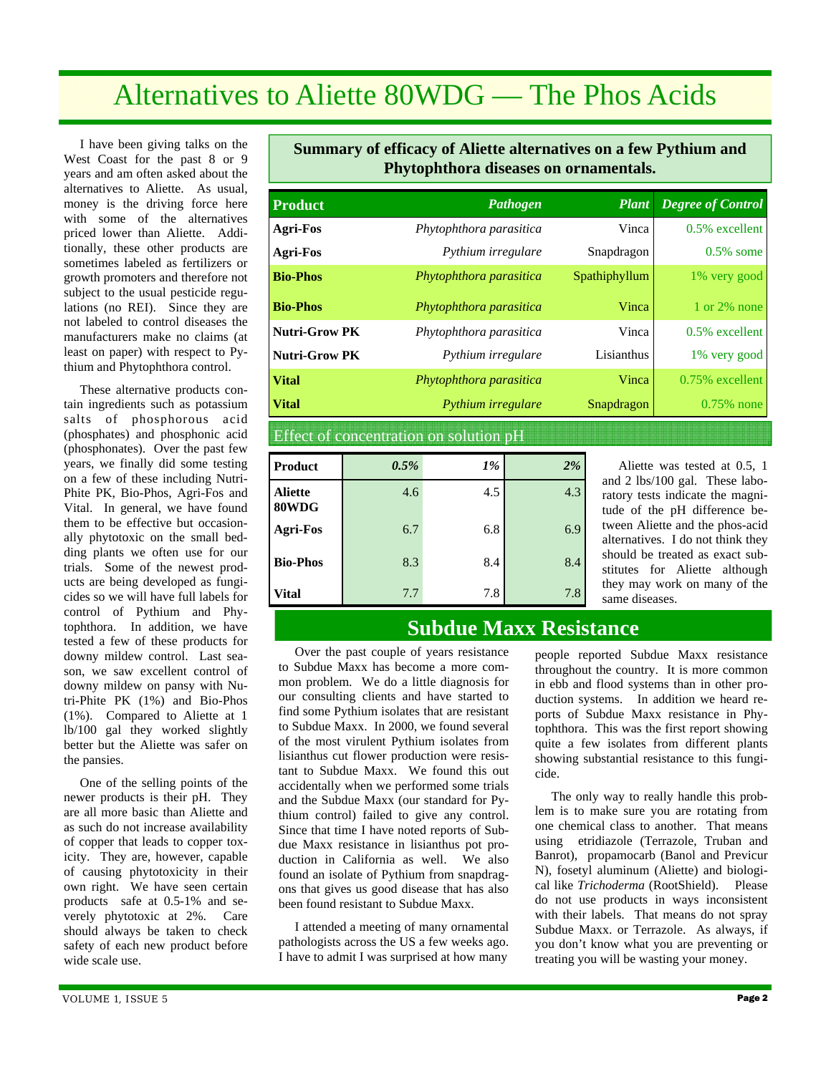# Alternatives to Aliette 80WDG — The Phos Acids

 I have been giving talks on the West Coast for the past 8 or 9 years and am often asked about the alternatives to Aliette. As usual, money is the driving force here with some of the alternatives priced lower than Aliette. Additionally, these other products are sometimes labeled as fertilizers or growth promoters and therefore not subject to the usual pesticide regulations (no REI). Since they are not labeled to control diseases the manufacturers make no claims (at least on paper) with respect to Pythium and Phytophthora control.

 These alternative products contain ingredients such as potassium salts of phosphorous acid (phosphates) and phosphonic acid (phosphonates). Over the past few years, we finally did some testing on a few of these including Nutri-Phite PK, Bio-Phos, Agri-Fos and Vital. In general, we have found them to be effective but occasionally phytotoxic on the small bedding plants we often use for our trials. Some of the newest products are being developed as fungicides so we will have full labels for control of Pythium and Phytophthora. In addition, we have tested a few of these products for downy mildew control. Last season, we saw excellent control of downy mildew on pansy with Nutri-Phite PK (1%) and Bio-Phos (1%). Compared to Aliette at 1 lb/100 gal they worked slightly better but the Aliette was safer on the pansies.

 One of the selling points of the newer products is their pH. They are all more basic than Aliette and as such do not increase availability of copper that leads to copper toxicity. They are, however, capable of causing phytotoxicity in their own right. We have seen certain products safe at 0.5-1% and severely phytotoxic at 2%. Care should always be taken to check safety of each new product before wide scale use.

### **Summary of efficacy of Aliette alternatives on a few Pythium and Phytophthora diseases on ornamentals.**

| <b>Product</b>                          | Pathogen                | <b>Plant</b>  | <b>Degree of Control</b> |
|-----------------------------------------|-------------------------|---------------|--------------------------|
| Agri-Fos                                | Phytophthora parasitica | Vinca         | $0.5\%$ excellent        |
| <b>Agri-Fos</b>                         | Pythium irregulare      | Snapdragon    | $0.5\%$ some             |
| <b>Bio-Phos</b>                         | Phytophthora parasitica | Spathiphyllum | 1% very good             |
| <b>Bio-Phos</b>                         | Phytophthora parasitica | Vinca         | 1 or $2\%$ none          |
| <b>Nutri-Grow PK</b>                    | Phytophthora parasitica |               | $0.5\%$ excellent        |
| <b>Nutri-Grow PK</b>                    | Pythium irregulare      | Lisianthus    | 1% very good             |
| <b>Vital</b><br>Phytophthora parasitica |                         | Vinca         | 0.75% excellent          |
| <b>Vital</b>                            | Pythium irregulare      | Snapdragon    | $0.75\%$ none            |

Effect of concentration on solution pH

| Product                 | 0.5% | 1%  | 2%  |
|-------------------------|------|-----|-----|
| <b>Aliette</b><br>80WDG | 4.6  | 4.5 | 4.3 |
| <b>Agri-Fos</b>         | 6.7  | 6.8 | 6.9 |
| <b>Bio-Phos</b>         | 8.3  | 8.4 | 8.4 |
| Vital                   | 7.7  | 7.8 | 7.8 |

 Aliette was tested at 0.5, 1 and 2 lbs/100 gal. These laboratory tests indicate the magnitude of the pH difference between Aliette and the phos-acid alternatives. I do not think they should be treated as exact substitutes for Aliette although they may work on many of the same diseases.

## **Subdue Maxx Resistance**

 Over the past couple of years resistance to Subdue Maxx has become a more common problem. We do a little diagnosis for our consulting clients and have started to find some Pythium isolates that are resistant to Subdue Maxx. In 2000, we found several of the most virulent Pythium isolates from lisianthus cut flower production were resistant to Subdue Maxx. We found this out accidentally when we performed some trials and the Subdue Maxx (our standard for Pythium control) failed to give any control. Since that time I have noted reports of Subdue Maxx resistance in lisianthus pot production in California as well. We also found an isolate of Pythium from snapdragons that gives us good disease that has also been found resistant to Subdue Maxx.

 I attended a meeting of many ornamental pathologists across the US a few weeks ago. I have to admit I was surprised at how many people reported Subdue Maxx resistance throughout the country. It is more common in ebb and flood systems than in other production systems. In addition we heard reports of Subdue Maxx resistance in Phytophthora. This was the first report showing quite a few isolates from different plants showing substantial resistance to this fungicide.

 The only way to really handle this problem is to make sure you are rotating from one chemical class to another. That means using etridiazole (Terrazole, Truban and Banrot), propamocarb (Banol and Previcur N), fosetyl aluminum (Aliette) and biological like *Trichoderma* (RootShield). Please do not use products in ways inconsistent with their labels. That means do not spray Subdue Maxx. or Terrazole. As always, if you don't know what you are preventing or treating you will be wasting your money.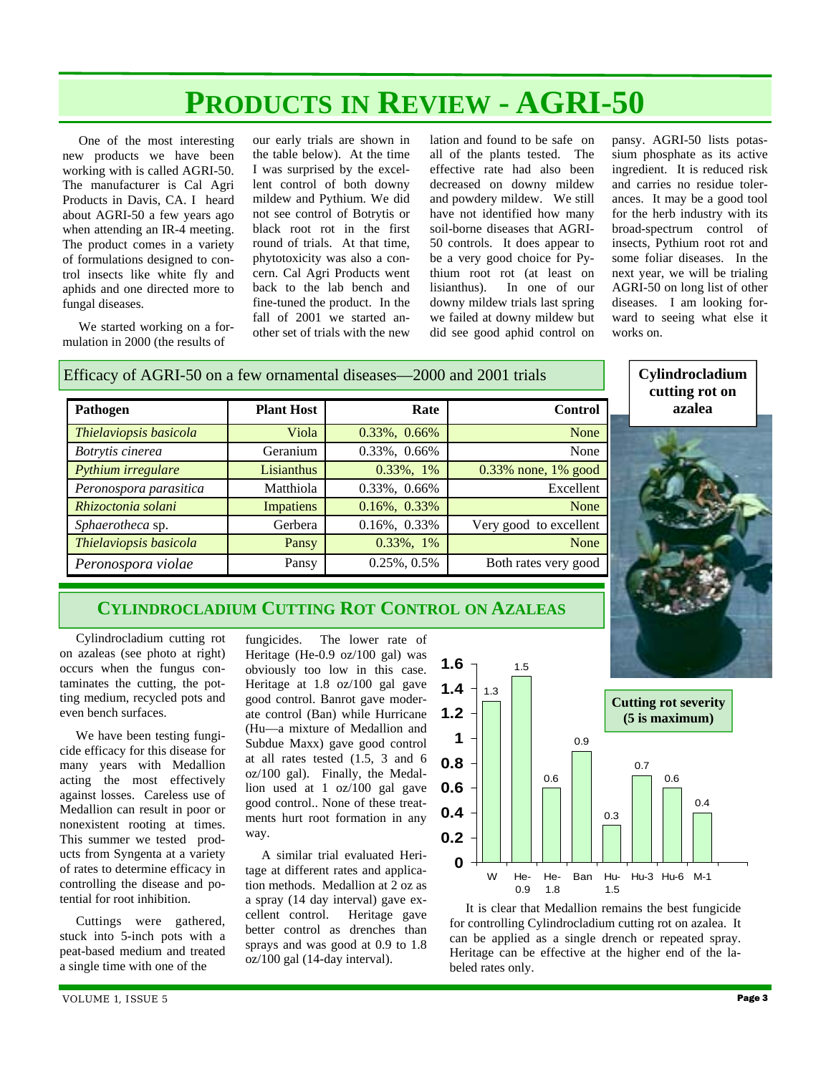# **PRODUCTS IN REVIEW - AGRI-50**

 One of the most interesting new products we have been working with is called AGRI-50. The manufacturer is Cal Agri Products in Davis, CA. I heard about AGRI-50 a few years ago when attending an IR-4 meeting. The product comes in a variety of formulations designed to control insects like white fly and aphids and one directed more to fungal diseases.

 We started working on a formulation in 2000 (the results of

our early trials are shown in the table below). At the time I was surprised by the excellent control of both downy mildew and Pythium. We did not see control of Botrytis or black root rot in the first round of trials. At that time, phytotoxicity was also a concern. Cal Agri Products went back to the lab bench and fine-tuned the product. In the fall of 2001 we started another set of trials with the new

lation and found to be safe on all of the plants tested. The effective rate had also been decreased on downy mildew and powdery mildew. We still have not identified how many soil-borne diseases that AGRI-50 controls. It does appear to be a very good choice for Pythium root rot (at least on lisianthus). In one of our downy mildew trials last spring we failed at downy mildew but did see good aphid control on

pansy. AGRI-50 lists potassium phosphate as its active ingredient. It is reduced risk and carries no residue tolerances. It may be a good tool for the herb industry with its broad-spectrum control of insects, Pythium root rot and some foliar diseases. In the next year, we will be trialing AGRI-50 on long list of other diseases. I am looking forward to seeing what else it works on.

| Efficacy of AGRI-50 on a few ornamental diseases—2000 and 2001 trials | Cylindrocladium<br>cutting rot on |              |                        |        |
|-----------------------------------------------------------------------|-----------------------------------|--------------|------------------------|--------|
| Pathogen                                                              | <b>Plant Host</b>                 | Rate         | <b>Control</b>         | azalea |
| Thielaviopsis basicola                                                | Viola                             | 0.33%, 0.66% | None                   |        |
| Botrytis cinerea                                                      | Geranium                          | 0.33%, 0.66% | None                   |        |
| Pythium irregulare                                                    | Lisianthus                        | 0.33%, 1%    | $0.33\%$ none, 1% good |        |
| Peronospora parasitica                                                | Matthiola                         | 0.33%, 0.66% | Excellent              |        |
| Rhizoctonia solani                                                    | Impatiens                         | 0.16%, 0.33% | None                   |        |
| Sphaerotheca sp.                                                      | Gerbera                           | 0.16%, 0.33% | Very good to excellent |        |
| Thielaviopsis basicola                                                | Pansy                             | 0.33%, 1%    | None                   |        |
| Peronospora violae                                                    | Pansy                             | 0.25%, 0.5%  | Both rates very good   |        |

### Efficacy of AGRI-50 on a few ornamental diseases—2000 and 2001 trials

### **CYLINDROCLADIUM CUTTING ROT CONTROL ON AZALEAS**

 Cylindrocladium cutting rot on azaleas (see photo at right) occurs when the fungus contaminates the cutting, the potting medium, recycled pots and even bench surfaces.

 We have been testing fungicide efficacy for this disease for many years with Medallion acting the most effectively against losses. Careless use of Medallion can result in poor or nonexistent rooting at times. This summer we tested products from Syngenta at a variety of rates to determine efficacy in controlling the disease and potential for root inhibition.

 Cuttings were gathered, stuck into 5-inch pots with a peat-based medium and treated a single time with one of the

fungicides. The lower rate of Heritage (He-0.9 oz/100 gal) was obviously too low in this case. Heritage at 1.8 oz/100 gal gave good control. Banrot gave moderate control (Ban) while Hurricane (Hu—a mixture of Medallion and Subdue Maxx) gave good control at all rates tested (1.5, 3 and 6 oz/100 gal). Finally, the Medallion used at 1 oz/100 gal gave good control.. None of these treatments hurt root formation in any way.

 A similar trial evaluated Heritage at different rates and application methods. Medallion at 2 oz as a spray (14 day interval) gave excellent control. Heritage gave better control as drenches than sprays and was good at 0.9 to 1.8 oz/100 gal (14-day interval).



 It is clear that Medallion remains the best fungicide for controlling Cylindrocladium cutting rot on azalea. It can be applied as a single drench or repeated spray. Heritage can be effective at the higher end of the labeled rates only.